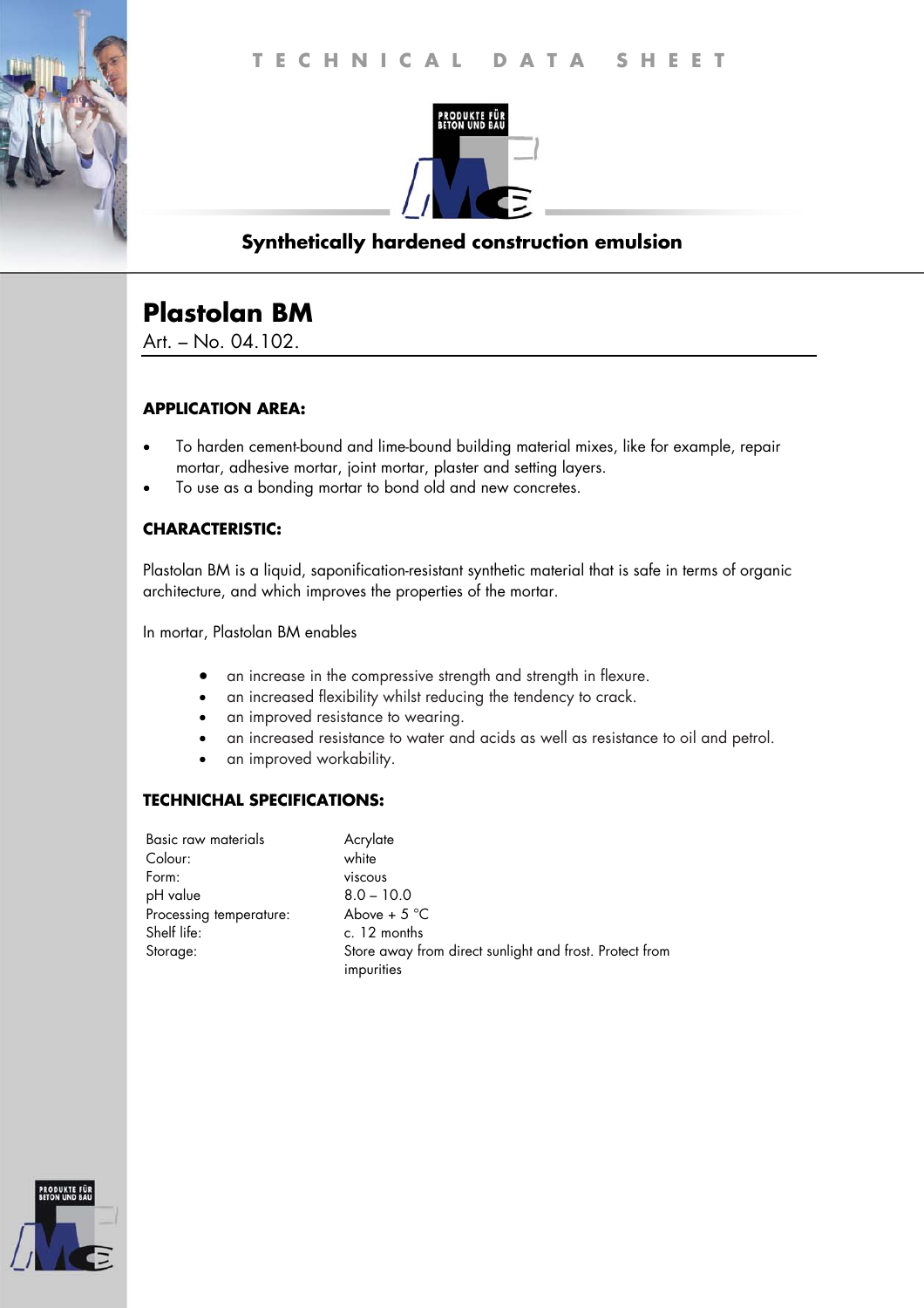

## **Synthetically hardened construction emulsion**

# **Plastolan BM**

Art. – No. 04.102.

#### **APPLICATION AREA:**

- To harden cement-bound and lime-bound building material mixes, like for example, repair mortar, adhesive mortar, joint mortar, plaster and setting layers.
- To use as a bonding mortar to bond old and new concretes.

### **CHARACTERISTIC:**

Plastolan BM is a liquid, saponification-resistant synthetic material that is safe in terms of organic architecture, and which improves the properties of the mortar.

In mortar, Plastolan BM enables

- an increase in the compressive strength and strength in flexure.
- an increased flexibility whilst reducing the tendency to crack.
- an improved resistance to wearing.
- an increased resistance to water and acids as well as resistance to oil and petrol.
- an improved workability.

#### **TECHNICHAL SPECIFICATIONS:**

| Basic raw materials     | Acrylate                                                |
|-------------------------|---------------------------------------------------------|
| Colour:                 | white                                                   |
| Form:                   | viscous                                                 |
| pH value                | $8.0 - 10.0$                                            |
| Processing temperature: | Above + $5^{\circ}$ C                                   |
| Shelf life:             | c. 12 months                                            |
| Storage:                | Store away from direct sunlight and frost. Protect from |
|                         | impurities                                              |